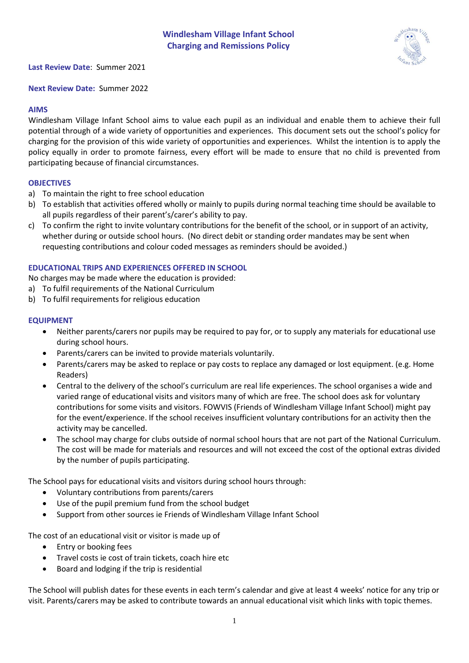

**Last Review Date**: Summer 2021

**Next Review Date:** Summer 2022

## **AIMS**

Windlesham Village Infant School aims to value each pupil as an individual and enable them to achieve their full potential through of a wide variety of opportunities and experiences. This document sets out the school's policy for charging for the provision of this wide variety of opportunities and experiences. Whilst the intention is to apply the policy equally in order to promote fairness, every effort will be made to ensure that no child is prevented from participating because of financial circumstances.

## **OBJECTIVES**

- a) To maintain the right to free school education
- b) To establish that activities offered wholly or mainly to pupils during normal teaching time should be available to all pupils regardless of their parent's/carer's ability to pay.
- c) To confirm the right to invite voluntary contributions for the benefit of the school, or in support of an activity, whether during or outside school hours. (No direct debit or standing order mandates may be sent when requesting contributions and colour coded messages as reminders should be avoided.)

## **EDUCATIONAL TRIPS AND EXPERIENCES OFFERED IN SCHOOL**

No charges may be made where the education is provided:

- a) To fulfil requirements of the National Curriculum
- b) To fulfil requirements for religious education

#### **EQUIPMENT**

- Neither parents/carers nor pupils may be required to pay for, or to supply any materials for educational use during school hours.
- Parents/carers can be invited to provide materials voluntarily.
- Parents/carers may be asked to replace or pay costs to replace any damaged or lost equipment. (e.g. Home Readers)
- Central to the delivery of the school's curriculum are real life experiences. The school organises a wide and varied range of educational visits and visitors many of which are free. The school does ask for voluntary contributions for some visits and visitors. FOWVIS (Friends of Windlesham Village Infant School) might pay for the event/experience. If the school receives insufficient voluntary contributions for an activity then the activity may be cancelled.
- The school may charge for clubs outside of normal school hours that are not part of the National Curriculum. The cost will be made for materials and resources and will not exceed the cost of the optional extras divided by the number of pupils participating.

The School pays for educational visits and visitors during school hours through:

- Voluntary contributions from parents/carers
- Use of the pupil premium fund from the school budget
- Support from other sources ie Friends of Windlesham Village Infant School

The cost of an educational visit or visitor is made up of

- Entry or booking fees
- Travel costs ie cost of train tickets, coach hire etc
- Board and lodging if the trip is residential

The School will publish dates for these events in each term's calendar and give at least 4 weeks' notice for any trip or visit. Parents/carers may be asked to contribute towards an annual educational visit which links with topic themes.